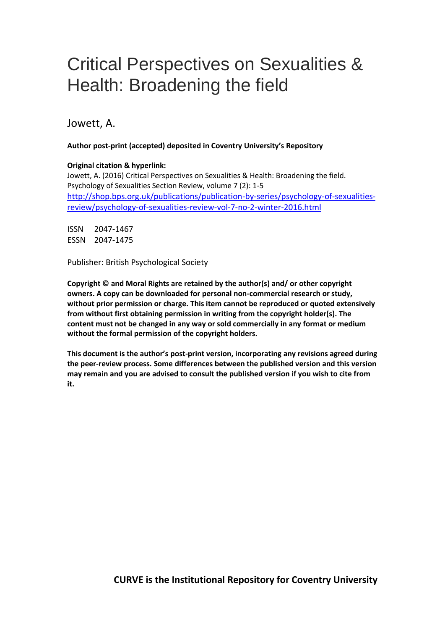# Critical Perspectives on Sexualities & Health: Broadening the field

Jowett, A.

### **Author post-print (accepted) deposited in Coventry University's Repository**

### **Original citation & hyperlink:**

Jowett, A. (2016) Critical Perspectives on Sexualities & Health: Broadening the field. Psychology of Sexualities Section Review, volume 7 (2): 1-5 [http://shop.bps.org.uk/publications/publication-by-series/psychology-of-sexualities](http://shop.bps.org.uk/publications/publication-by-series/psychology-of-sexualities-review/psychology-of-sexualities-review-vol-7-no-2-winter-2016.html)[review/psychology-of-sexualities-review-vol-7-no-2-winter-2016.html](http://shop.bps.org.uk/publications/publication-by-series/psychology-of-sexualities-review/psychology-of-sexualities-review-vol-7-no-2-winter-2016.html)

ISSN 2047-1467 ESSN 2047-1475

Publisher: British Psychological Society

**Copyright © and Moral Rights are retained by the author(s) and/ or other copyright owners. A copy can be downloaded for personal non-commercial research or study, without prior permission or charge. This item cannot be reproduced or quoted extensively from without first obtaining permission in writing from the copyright holder(s). The content must not be changed in any way or sold commercially in any format or medium without the formal permission of the copyright holders.** 

**This document is the author's post-print version, incorporating any revisions agreed during the peer-review process. Some differences between the published version and this version may remain and you are advised to consult the published version if you wish to cite from it.**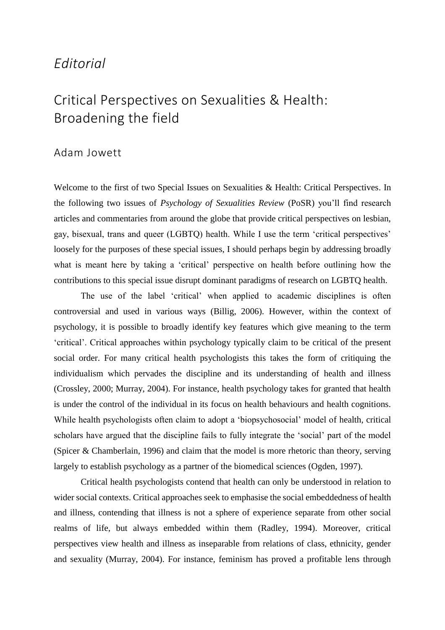### *Editorial*

## Critical Perspectives on Sexualities & Health: Broadening the field

### Adam Jowett

Welcome to the first of two Special Issues on Sexualities & Health: Critical Perspectives. In the following two issues of *Psychology of Sexualities Review* (PoSR) you'll find research articles and commentaries from around the globe that provide critical perspectives on lesbian, gay, bisexual, trans and queer (LGBTQ) health. While I use the term 'critical perspectives' loosely for the purposes of these special issues, I should perhaps begin by addressing broadly what is meant here by taking a 'critical' perspective on health before outlining how the contributions to this special issue disrupt dominant paradigms of research on LGBTQ health.

The use of the label 'critical' when applied to academic disciplines is often controversial and used in various ways (Billig, 2006). However, within the context of psychology, it is possible to broadly identify key features which give meaning to the term 'critical'. Critical approaches within psychology typically claim to be critical of the present social order. For many critical health psychologists this takes the form of critiquing the individualism which pervades the discipline and its understanding of health and illness (Crossley, 2000; Murray, 2004). For instance, health psychology takes for granted that health is under the control of the individual in its focus on health behaviours and health cognitions. While health psychologists often claim to adopt a 'biopsychosocial' model of health, critical scholars have argued that the discipline fails to fully integrate the 'social' part of the model (Spicer & Chamberlain, 1996) and claim that the model is more rhetoric than theory, serving largely to establish psychology as a partner of the biomedical sciences (Ogden, 1997).

Critical health psychologists contend that health can only be understood in relation to wider social contexts. Critical approaches seek to emphasise the social embeddedness of health and illness, contending that illness is not a sphere of experience separate from other social realms of life, but always embedded within them (Radley, 1994). Moreover, critical perspectives view health and illness as inseparable from relations of class, ethnicity, gender and sexuality (Murray, 2004). For instance, feminism has proved a profitable lens through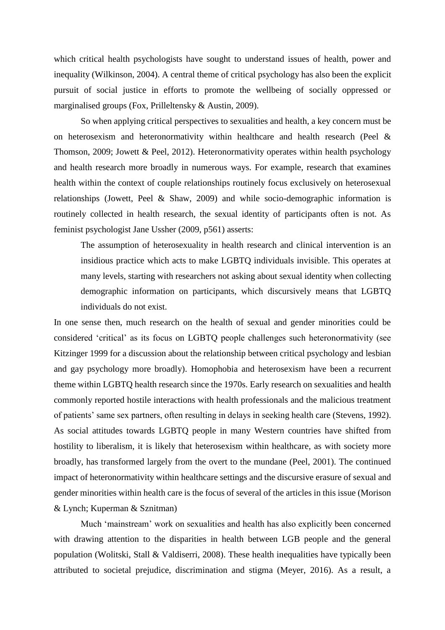which critical health psychologists have sought to understand issues of health, power and inequality (Wilkinson, 2004). A central theme of critical psychology has also been the explicit pursuit of social justice in efforts to promote the wellbeing of socially oppressed or marginalised groups (Fox, Prilleltensky & Austin, 2009).

So when applying critical perspectives to sexualities and health, a key concern must be on heterosexism and heteronormativity within healthcare and health research (Peel  $\&$ Thomson, 2009; Jowett & Peel, 2012). Heteronormativity operates within health psychology and health research more broadly in numerous ways. For example, research that examines health within the context of couple relationships routinely focus exclusively on heterosexual relationships (Jowett, Peel & Shaw, 2009) and while socio-demographic information is routinely collected in health research, the sexual identity of participants often is not. As feminist psychologist Jane Ussher (2009, p561) asserts:

The assumption of heterosexuality in health research and clinical intervention is an insidious practice which acts to make LGBTQ individuals invisible. This operates at many levels, starting with researchers not asking about sexual identity when collecting demographic information on participants, which discursively means that LGBTQ individuals do not exist.

In one sense then, much research on the health of sexual and gender minorities could be considered 'critical' as its focus on LGBTQ people challenges such heteronormativity (see Kitzinger 1999 for a discussion about the relationship between critical psychology and lesbian and gay psychology more broadly). Homophobia and heterosexism have been a recurrent theme within LGBTQ health research since the 1970s. Early research on sexualities and health commonly reported hostile interactions with health professionals and the malicious treatment of patients' same sex partners, often resulting in delays in seeking health care (Stevens, 1992). As social attitudes towards LGBTQ people in many Western countries have shifted from hostility to liberalism, it is likely that heterosexism within healthcare, as with society more broadly, has transformed largely from the overt to the mundane (Peel, 2001). The continued impact of heteronormativity within healthcare settings and the discursive erasure of sexual and gender minorities within health care is the focus of several of the articles in this issue (Morison & Lynch; Kuperman & Sznitman)

Much 'mainstream' work on sexualities and health has also explicitly been concerned with drawing attention to the disparities in health between LGB people and the general population (Wolitski, Stall & Valdiserri, 2008). These health inequalities have typically been attributed to societal prejudice, discrimination and stigma (Meyer, 2016). As a result, a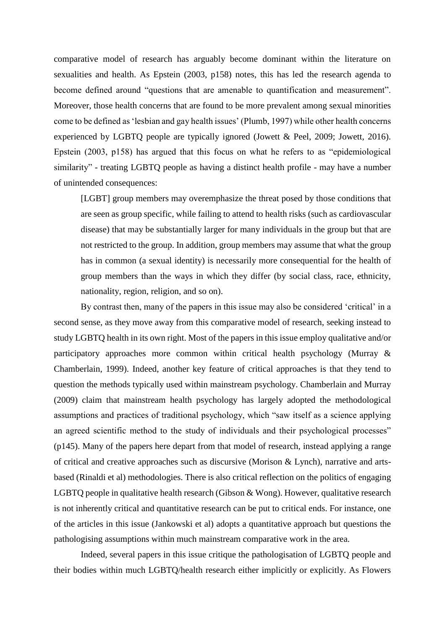comparative model of research has arguably become dominant within the literature on sexualities and health. As Epstein (2003, p158) notes, this has led the research agenda to become defined around "questions that are amenable to quantification and measurement". Moreover, those health concerns that are found to be more prevalent among sexual minorities come to be defined as 'lesbian and gay health issues' (Plumb, 1997) while other health concerns experienced by LGBTQ people are typically ignored (Jowett & Peel, 2009; Jowett, 2016). Epstein (2003, p158) has argued that this focus on what he refers to as "epidemiological similarity" - treating LGBTQ people as having a distinct health profile - may have a number of unintended consequences:

[LGBT] group members may overemphasize the threat posed by those conditions that are seen as group specific, while failing to attend to health risks (such as cardiovascular disease) that may be substantially larger for many individuals in the group but that are not restricted to the group. In addition, group members may assume that what the group has in common (a sexual identity) is necessarily more consequential for the health of group members than the ways in which they differ (by social class, race, ethnicity, nationality, region, religion, and so on).

By contrast then, many of the papers in this issue may also be considered 'critical' in a second sense, as they move away from this comparative model of research, seeking instead to study LGBTQ health in its own right. Most of the papers in this issue employ qualitative and/or participatory approaches more common within critical health psychology (Murray & Chamberlain, 1999). Indeed, another key feature of critical approaches is that they tend to question the methods typically used within mainstream psychology. Chamberlain and Murray (2009) claim that mainstream health psychology has largely adopted the methodological assumptions and practices of traditional psychology, which "saw itself as a science applying an agreed scientific method to the study of individuals and their psychological processes" (p145). Many of the papers here depart from that model of research, instead applying a range of critical and creative approaches such as discursive (Morison & Lynch), narrative and artsbased (Rinaldi et al) methodologies. There is also critical reflection on the politics of engaging LGBTQ people in qualitative health research (Gibson & Wong). However, qualitative research is not inherently critical and quantitative research can be put to critical ends. For instance, one of the articles in this issue (Jankowski et al) adopts a quantitative approach but questions the pathologising assumptions within much mainstream comparative work in the area.

Indeed, several papers in this issue critique the pathologisation of LGBTQ people and their bodies within much LGBTQ/health research either implicitly or explicitly. As Flowers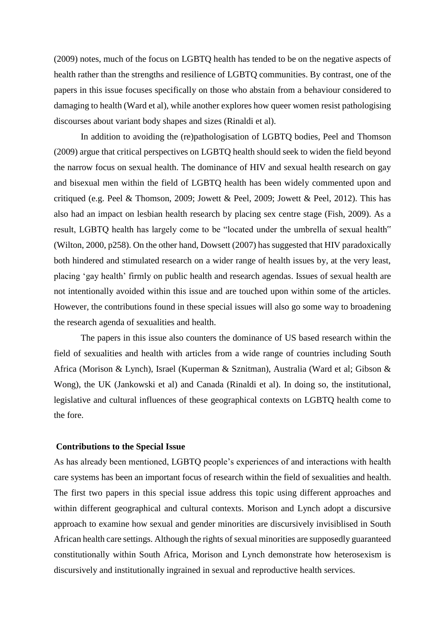(2009) notes, much of the focus on LGBTQ health has tended to be on the negative aspects of health rather than the strengths and resilience of LGBTQ communities. By contrast, one of the papers in this issue focuses specifically on those who abstain from a behaviour considered to damaging to health (Ward et al), while another explores how queer women resist pathologising discourses about variant body shapes and sizes (Rinaldi et al).

In addition to avoiding the (re)pathologisation of LGBTQ bodies, Peel and Thomson (2009) argue that critical perspectives on LGBTQ health should seek to widen the field beyond the narrow focus on sexual health. The dominance of HIV and sexual health research on gay and bisexual men within the field of LGBTQ health has been widely commented upon and critiqued (e.g. Peel & Thomson, 2009; Jowett & Peel, 2009; Jowett & Peel, 2012). This has also had an impact on lesbian health research by placing sex centre stage (Fish, 2009). As a result, LGBTQ health has largely come to be "located under the umbrella of sexual health" (Wilton, 2000, p258). On the other hand, Dowsett (2007) has suggested that HIV paradoxically both hindered and stimulated research on a wider range of health issues by, at the very least, placing 'gay health' firmly on public health and research agendas. Issues of sexual health are not intentionally avoided within this issue and are touched upon within some of the articles. However, the contributions found in these special issues will also go some way to broadening the research agenda of sexualities and health.

The papers in this issue also counters the dominance of US based research within the field of sexualities and health with articles from a wide range of countries including South Africa (Morison & Lynch), Israel (Kuperman & Sznitman), Australia (Ward et al; Gibson & Wong), the UK (Jankowski et al) and Canada (Rinaldi et al). In doing so, the institutional, legislative and cultural influences of these geographical contexts on LGBTQ health come to the fore.

### **Contributions to the Special Issue**

As has already been mentioned, LGBTQ people's experiences of and interactions with health care systems has been an important focus of research within the field of sexualities and health. The first two papers in this special issue address this topic using different approaches and within different geographical and cultural contexts. Morison and Lynch adopt a discursive approach to examine how sexual and gender minorities are discursively invisiblised in South African health care settings. Although the rights of sexual minorities are supposedly guaranteed constitutionally within South Africa, Morison and Lynch demonstrate how heterosexism is discursively and institutionally ingrained in sexual and reproductive health services.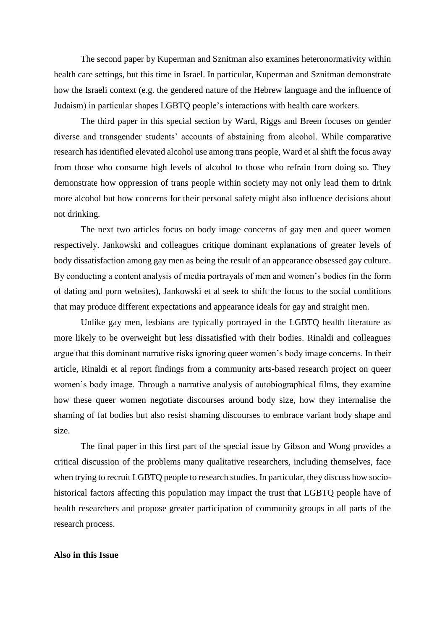The second paper by Kuperman and Sznitman also examines heteronormativity within health care settings, but this time in Israel. In particular, Kuperman and Sznitman demonstrate how the Israeli context (e.g. the gendered nature of the Hebrew language and the influence of Judaism) in particular shapes LGBTQ people's interactions with health care workers.

The third paper in this special section by Ward, Riggs and Breen focuses on gender diverse and transgender students' accounts of abstaining from alcohol. While comparative research has identified elevated alcohol use among trans people, Ward et al shift the focus away from those who consume high levels of alcohol to those who refrain from doing so. They demonstrate how oppression of trans people within society may not only lead them to drink more alcohol but how concerns for their personal safety might also influence decisions about not drinking.

The next two articles focus on body image concerns of gay men and queer women respectively. Jankowski and colleagues critique dominant explanations of greater levels of body dissatisfaction among gay men as being the result of an appearance obsessed gay culture. By conducting a content analysis of media portrayals of men and women's bodies (in the form of dating and porn websites), Jankowski et al seek to shift the focus to the social conditions that may produce different expectations and appearance ideals for gay and straight men.

Unlike gay men, lesbians are typically portrayed in the LGBTQ health literature as more likely to be overweight but less dissatisfied with their bodies. Rinaldi and colleagues argue that this dominant narrative risks ignoring queer women's body image concerns. In their article, Rinaldi et al report findings from a community arts-based research project on queer women's body image. Through a narrative analysis of autobiographical films, they examine how these queer women negotiate discourses around body size, how they internalise the shaming of fat bodies but also resist shaming discourses to embrace variant body shape and size.

The final paper in this first part of the special issue by Gibson and Wong provides a critical discussion of the problems many qualitative researchers, including themselves, face when trying to recruit LGBTQ people to research studies. In particular, they discuss how sociohistorical factors affecting this population may impact the trust that LGBTQ people have of health researchers and propose greater participation of community groups in all parts of the research process.

### **Also in this Issue**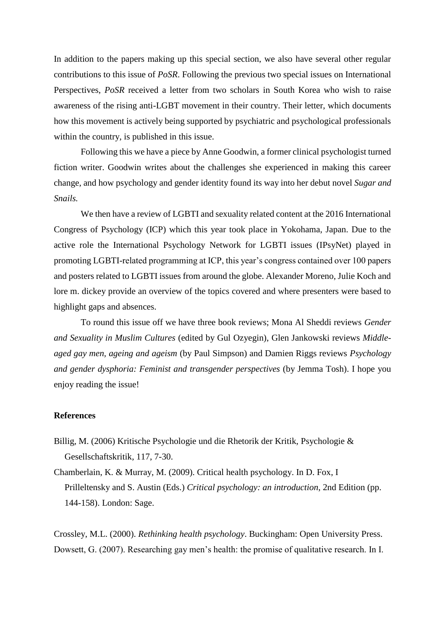In addition to the papers making up this special section, we also have several other regular contributions to this issue of *PoSR*. Following the previous two special issues on International Perspectives, *PoSR* received a letter from two scholars in South Korea who wish to raise awareness of the rising anti-LGBT movement in their country. Their letter, which documents how this movement is actively being supported by psychiatric and psychological professionals within the country, is published in this issue.

Following this we have a piece by Anne Goodwin, a former clinical psychologist turned fiction writer. Goodwin writes about the challenges she experienced in making this career change, and how psychology and gender identity found its way into her debut novel *Sugar and Snails.* 

We then have a review of LGBTI and sexuality related content at the 2016 International Congress of Psychology (ICP) which this year took place in Yokohama, Japan. Due to the active role the International Psychology Network for LGBTI issues (IPsyNet) played in promoting LGBTI-related programming at ICP, this year's congress contained over 100 papers and posters related to LGBTI issues from around the globe. Alexander Moreno, Julie Koch and lore m. dickey provide an overview of the topics covered and where presenters were based to highlight gaps and absences.

To round this issue off we have three book reviews; Mona Al Sheddi reviews *Gender and Sexuality in Muslim Cultures* (edited by Gul Ozyegin), Glen Jankowski reviews *Middleaged gay men, ageing and ageism* (by Paul Simpson) and Damien Riggs reviews *Psychology and gender dysphoria: Feminist and transgender perspectives* (by Jemma Tosh). I hope you enjoy reading the issue!

### **References**

- Billig, M. (2006) Kritische Psychologie und die Rhetorik der Kritik, Psychologie & Gesellschaftskritik, 117, 7-30.
- Chamberlain, K. & Murray, M. (2009). Critical health psychology. In D. Fox, I Prilleltensky and S. Austin (Eds.) *Critical psychology: an introduction*, 2nd Edition (pp. 144-158). London: Sage.

Crossley, M.L. (2000). *Rethinking health psychology*. Buckingham: Open University Press. Dowsett, G. (2007). Researching gay men's health: the promise of qualitative research. In I.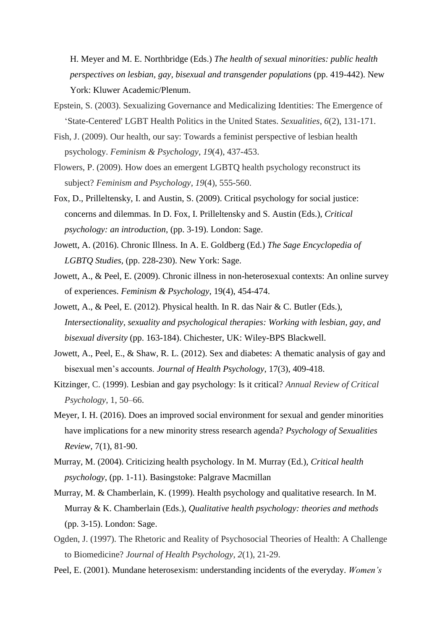H. Meyer and M. E. Northbridge (Eds.) *The health of sexual minorities: public health perspectives on lesbian, gay, bisexual and transgender populations* (pp. 419-442). New York: Kluwer Academic/Plenum.

- Epstein, S. (2003). Sexualizing Governance and Medicalizing Identities: The Emergence of 'State-Centered' LGBT Health Politics in the United States. *Sexualities*, *6*(2), 131-171.
- Fish, J. (2009). Our health, our say: Towards a feminist perspective of lesbian health psychology. *Feminism & Psychology*, *19*(4), 437-453.
- Flowers, P. (2009). How does an emergent LGBTQ health psychology reconstruct its subject? *Feminism and Psychology*, *19*(4), 555-560.
- Fox, D., Prilleltensky, I. and Austin, S. (2009). Critical psychology for social justice: concerns and dilemmas. In D. Fox, I. Prilleltensky and S. Austin (Eds.), *Critical psychology: an introduction*, (pp. 3-19). London: Sage.
- Jowett, A. (2016). Chronic Illness. In A. E. Goldberg (Ed.) *The Sage Encyclopedia of LGBTQ Studies,* (pp. 228-230). New York: Sage.
- Jowett, A., & Peel, E. (2009). Chronic illness in non-heterosexual contexts: An online survey of experiences. *Feminism & Psychology*, 19(4), 454-474.
- Jowett, A., & Peel, E. (2012). Physical health. In R. das Nair & C. Butler (Eds.), *Intersectionality, sexuality and psychological therapies: Working with lesbian, gay, and bisexual diversity* (pp. 163-184). Chichester, UK: Wiley-BPS Blackwell.
- Jowett, A., Peel, E., & Shaw, R. L. (2012). Sex and diabetes: A thematic analysis of gay and bisexual men's accounts. *Journal of Health Psychology*, 17(3), 409-418.
- Kitzinger, C. (1999). Lesbian and gay psychology: Is it critical? *Annual Review of Critical Psychology*, 1, 50–66.
- Meyer, I. H. (2016). Does an improved social environment for sexual and gender minorities have implications for a new minority stress research agenda? *Psychology of Sexualities Review,* 7(1), 81-90.
- Murray, M. (2004). Criticizing health psychology. In M. Murray (Ed.), *Critical health psychology*, (pp. 1-11). Basingstoke: Palgrave Macmillan
- Murray, M. & Chamberlain, K. (1999). Health psychology and qualitative research. In M. Murray & K. Chamberlain (Eds.), *Qualitative health psychology: theories and methods* (pp. 3-15). London: Sage.
- Ogden, J. (1997). The Rhetoric and Reality of Psychosocial Theories of Health: A Challenge to Biomedicine? *Journal of Health Psychology*, *2*(1), 21-29.
- Peel, E. (2001). Mundane heterosexism: understanding incidents of the everyday. *Women's*